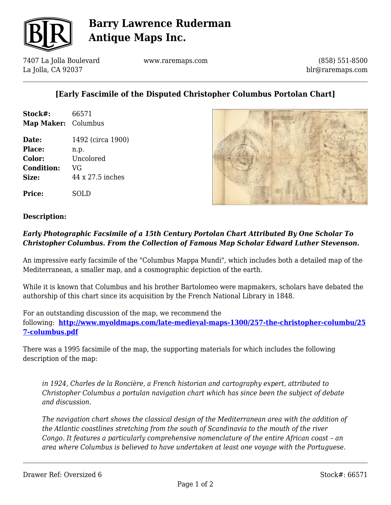

## **Barry Lawrence Ruderman Antique Maps Inc.**

7407 La Jolla Boulevard La Jolla, CA 92037

www.raremaps.com

(858) 551-8500 blr@raremaps.com

## **[Early Fascimile of the Disputed Christopher Columbus Portolan Chart]**

| Stock#:             | 66571 |
|---------------------|-------|
| Map Maker: Columbus |       |

**Date:** 1492 (circa 1900) **Place:** n.p. **Color:** Uncolored **Condition:** VG **Size:** 44 x 27.5 inches

**Price:** SOLD



#### **Description:**

### *Early Photographic Facsimile of a 15th Century Portolan Chart Attributed By One Scholar To Christopher Columbus. From the Collection of Famous Map Scholar Edward Luther Stevenson.*

An impressive early facsimile of the "Columbus Mappa Mundi", which includes both a detailed map of the Mediterranean, a smaller map, and a cosmographic depiction of the earth.

While it is known that Columbus and his brother Bartolomeo were mapmakers, scholars have debated the authorship of this chart since its acquisition by the French National Library in 1848.

For an outstanding discussion of the map, we recommend the

following: **[http://www.myoldmaps.com/late-medieval-maps-1300/257-the-christopher-columbu/25](http://www.myoldmaps.com/late-medieval-maps-1300/257-the-christopher-columbu/257-columbus.pdf) [7-columbus.pdf](http://www.myoldmaps.com/late-medieval-maps-1300/257-the-christopher-columbu/257-columbus.pdf)**

There was a 1995 facsimile of the map, the supporting materials for which includes the following description of the map:

*in 1924, Charles de la Roncière, a French historian and cartography expert, attributed to Christopher Columbus a portulan navigation chart which has since been the subject of debate and discussion.*

*The navigation chart shows the classical design of the Mediterranean area with the addition of the Atlantic coastlines stretching from the south of Scandinavia to the mouth of the river Congo. It features a particularly comprehensive nomenclature of the entire African coast – an area where Columbus is believed to have undertaken at least one voyage with the Portuguese.*